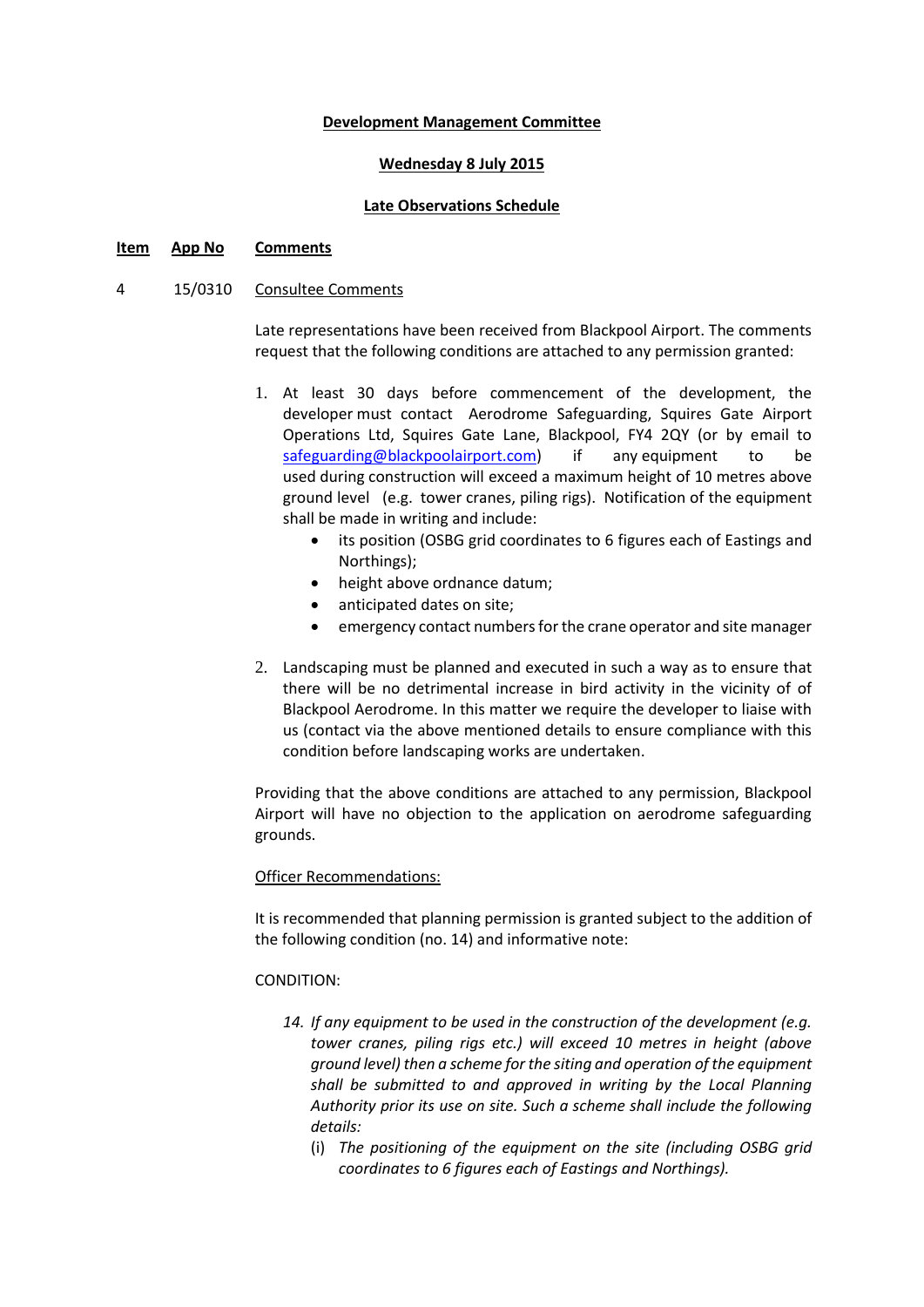## **Development Management Committee**

## **Wednesday 8 July 2015**

## **Late Observations Schedule**

## **Item App No Comments**

## 4 15/0310 Consultee Comments

Late representations have been received from Blackpool Airport. The comments request that the following conditions are attached to any permission granted:

- 1. At least 30 days before commencement of the development, the developer must contact Aerodrome Safeguarding, Squires Gate Airport Operations Ltd, Squires Gate Lane, Blackpool, FY4 2QY (or by email to safeguarding@blackpoolairport.com) if any equipment to be used during construction will exceed a maximum height of 10 metres above ground level (e.g. tower cranes, piling rigs). Notification of the equipment shall be made in writing and include:
	- its position (OSBG grid coordinates to 6 figures each of Eastings and Northings);
	- height above ordnance datum;
	- anticipated dates on site;
	- emergency contact numbers for the crane operator and site manager
- 2. Landscaping must be planned and executed in such a way as to ensure that there will be no detrimental increase in bird activity in the vicinity of of Blackpool Aerodrome. In this matter we require the developer to liaise with us (contact via the above mentioned details to ensure compliance with this condition before landscaping works are undertaken.

Providing that the above conditions are attached to any permission, Blackpool Airport will have no objection to the application on aerodrome safeguarding grounds.

#### Officer Recommendations:

It is recommended that planning permission is granted subject to the addition of the following condition (no. 14) and informative note:

#### CONDITION:

- *14. If any equipment to be used in the construction of the development (e.g. tower cranes, piling rigs etc.) will exceed 10 metres in height (above ground level) then a scheme for the siting and operation of the equipment shall be submitted to and approved in writing by the Local Planning Authority prior its use on site. Such a scheme shall include the following details:*
	- (i) *The positioning of the equipment on the site (including OSBG grid coordinates to 6 figures each of Eastings and Northings).*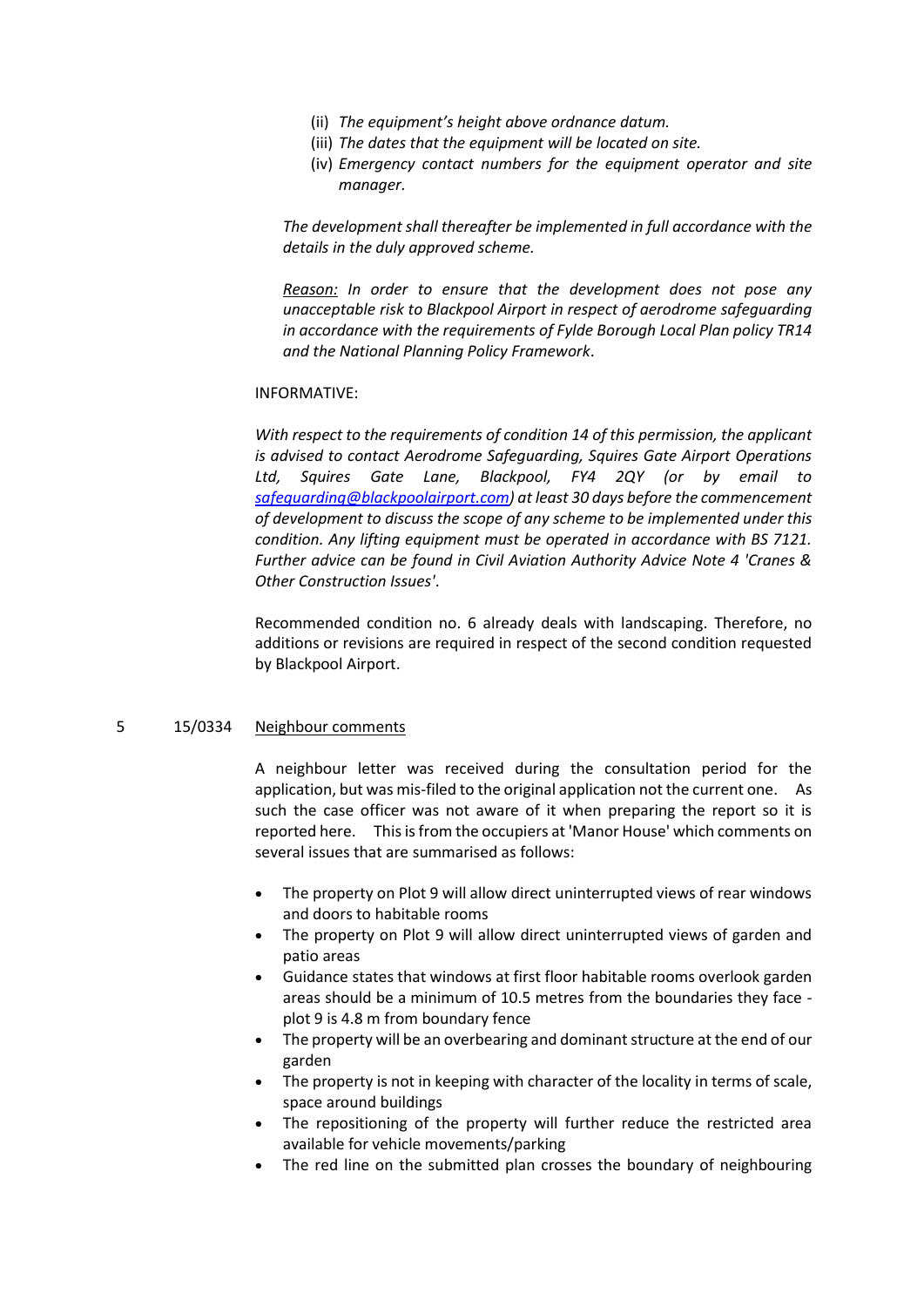- (ii) *The equipment's height above ordnance datum.*
- (iii) *The dates that the equipment will be located on site.*
- (iv) *Emergency contact numbers for the equipment operator and site manager.*

*The development shall thereafter be implemented in full accordance with the details in the duly approved scheme.*

*Reason: In order to ensure that the development does not pose any unacceptable risk to Blackpool Airport in respect of aerodrome safeguarding in accordance with the requirements of Fylde Borough Local Plan policy TR14 and the National Planning Policy Framework*.

#### INFORMATIVE:

*With respect to the requirements of condition 14 of this permission, the applicant is advised to contact Aerodrome Safeguarding, Squires Gate Airport Operations Ltd, Squires Gate Lane, Blackpool, FY4 2QY (or by email to safeguarding@blackpoolairport.com) at least 30 days before the commencement of development to discuss the scope of any scheme to be implemented under this condition. Any lifting equipment must be operated in accordance with BS 7121. Further advice can be found in Civil Aviation Authority Advice Note 4 'Cranes & Other Construction Issues'*.

Recommended condition no. 6 already deals with landscaping. Therefore, no additions or revisions are required in respect of the second condition requested by Blackpool Airport.

#### 5 15/0334 Neighbour comments

A neighbour letter was received during the consultation period for the application, but was mis-filed to the original application not the current one. As such the case officer was not aware of it when preparing the report so it is reported here. This is from the occupiers at 'Manor House' which comments on several issues that are summarised as follows:

- The property on Plot 9 will allow direct uninterrupted views of rear windows and doors to habitable rooms
- The property on Plot 9 will allow direct uninterrupted views of garden and patio areas
- Guidance states that windows at first floor habitable rooms overlook garden areas should be a minimum of 10.5 metres from the boundaries they face plot 9 is 4.8 m from boundary fence
- The property will be an overbearing and dominant structure at the end of our garden
- The property is not in keeping with character of the locality in terms of scale, space around buildings
- The repositioning of the property will further reduce the restricted area available for vehicle movements/parking
- The red line on the submitted plan crosses the boundary of neighbouring